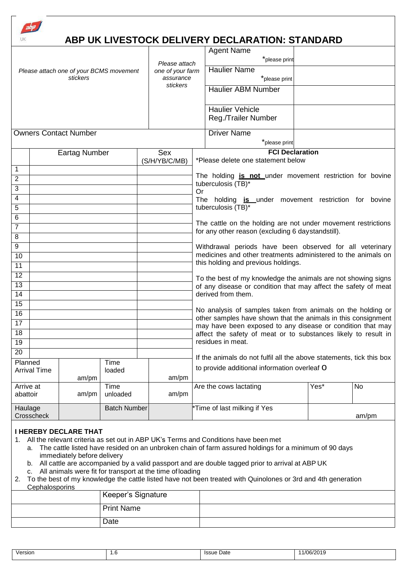|                       |                     |                                         |                     |                  | ABP UK LIVESTOCK DELIVERY DECLARATION: STANDARD<br><b>Agent Name</b>                                                                                                                          |      |       |
|-----------------------|---------------------|-----------------------------------------|---------------------|------------------|-----------------------------------------------------------------------------------------------------------------------------------------------------------------------------------------------|------|-------|
|                       |                     |                                         |                     | Please attach    | *please print                                                                                                                                                                                 |      |       |
|                       |                     | Please attach one of your BCMS movement |                     | one of your farm | <b>Haulier Name</b>                                                                                                                                                                           |      |       |
|                       |                     | stickers                                |                     | assurance        | *please print                                                                                                                                                                                 |      |       |
|                       |                     |                                         |                     | stickers         | <b>Haulier ABM Number</b>                                                                                                                                                                     |      |       |
|                       |                     |                                         |                     |                  |                                                                                                                                                                                               |      |       |
|                       |                     |                                         |                     |                  | <b>Haulier Vehicle</b>                                                                                                                                                                        |      |       |
|                       |                     |                                         |                     |                  | Reg./Trailer Number                                                                                                                                                                           |      |       |
|                       |                     | <b>Owners Contact Number</b>            |                     |                  | <b>Driver Name</b>                                                                                                                                                                            |      |       |
|                       |                     |                                         |                     |                  | *please print                                                                                                                                                                                 |      |       |
|                       |                     | <b>Eartag Number</b>                    |                     | Sex              | <b>FCI Declaration</b>                                                                                                                                                                        |      |       |
|                       |                     |                                         |                     | (S/H/YB/C/MB)    | *Please delete one statement below                                                                                                                                                            |      |       |
| 1                     |                     |                                         |                     |                  |                                                                                                                                                                                               |      |       |
| $\overline{2}$        |                     |                                         |                     |                  | The holding is not under movement restriction for bovine<br>tuberculosis (TB)*                                                                                                                |      |       |
| 3                     |                     |                                         |                     |                  | Or                                                                                                                                                                                            |      |       |
| 4                     |                     |                                         |                     |                  | The holding is under movement restriction for bovine                                                                                                                                          |      |       |
| $\overline{5}$        |                     |                                         |                     |                  | tuberculosis (TB)*                                                                                                                                                                            |      |       |
| 6                     |                     |                                         |                     |                  | The cattle on the holding are not under movement restrictions                                                                                                                                 |      |       |
| 7                     |                     |                                         |                     |                  | for any other reason (excluding 6 daystandstill).                                                                                                                                             |      |       |
| $\overline{8}$        |                     |                                         |                     |                  |                                                                                                                                                                                               |      |       |
| $\boldsymbol{9}$      |                     |                                         |                     |                  | Withdrawal periods have been observed for all veterinary<br>medicines and other treatments administered to the animals on                                                                     |      |       |
| 10                    |                     |                                         |                     |                  | this holding and previous holdings.                                                                                                                                                           |      |       |
| $\overline{11}$       |                     |                                         |                     |                  |                                                                                                                                                                                               |      |       |
| $\overline{12}$       |                     |                                         |                     |                  | To the best of my knowledge the animals are not showing signs                                                                                                                                 |      |       |
| 13<br>$\overline{14}$ |                     |                                         |                     |                  | of any disease or condition that may affect the safety of meat<br>derived from them.                                                                                                          |      |       |
| $\overline{15}$       |                     |                                         |                     |                  |                                                                                                                                                                                               |      |       |
| $\overline{16}$       |                     |                                         |                     |                  | No analysis of samples taken from animals on the holding or                                                                                                                                   |      |       |
| $\overline{17}$       |                     |                                         |                     |                  | other samples have shown that the animals in this consignment<br>may have been exposed to any disease or condition that may<br>affect the safety of meat or to substances likely to result in |      |       |
| 18                    |                     |                                         |                     |                  |                                                                                                                                                                                               |      |       |
| 19                    |                     |                                         |                     |                  | residues in meat.                                                                                                                                                                             |      |       |
| $\overline{20}$       |                     |                                         |                     |                  |                                                                                                                                                                                               |      |       |
| Planned               |                     |                                         | Time                |                  | If the animals do not fulfil all the above statements, tick this box                                                                                                                          |      |       |
|                       | <b>Arrival Time</b> |                                         | loaded              |                  | to provide additional information overleaf O                                                                                                                                                  |      |       |
|                       |                     | am/pm                                   |                     | am/pm            |                                                                                                                                                                                               |      |       |
| Arrive at             |                     |                                         | Time                | am/pm            | Are the cows lactating                                                                                                                                                                        | Yes* | No    |
| abattoir              |                     | am/pm                                   | unloaded            |                  |                                                                                                                                                                                               |      |       |
| Haulage               |                     |                                         | <b>Batch Number</b> |                  | *Time of last milking if Yes                                                                                                                                                                  |      |       |
|                       | Crosscheck          |                                         |                     |                  |                                                                                                                                                                                               |      | am/pm |
|                       |                     | <b>I HEREBY DECLARE THAT</b>            |                     |                  |                                                                                                                                                                                               |      |       |

- 1. All the relevant criteria as set out in ABP UK's Terms and Conditions have been met
	- a. The cattle listed have resided on an unbroken chain of farm assured holdings for a minimum of 90 days immediately before delivery
	- b. All cattle are accompanied by a valid passport and are double tagged prior to arrival at ABP UK
	- c. All animals were fit for transport at the time of loading

| 2. To the best of my knowledge the cattle listed have not been treated with Quinolones or 3rd and 4th generation |
|------------------------------------------------------------------------------------------------------------------|
| Cephalosporins                                                                                                   |
| l Keeper's Sianature                                                                                             |

| Keeper's Signature |  |
|--------------------|--|
| <b>Print Name</b>  |  |
| Date               |  |

| $ -$<br><b>Issue</b><br>Date<br>isiur<br>٥<br>$\cdot$<br>.<br>$\sim$ |  |  |
|----------------------------------------------------------------------|--|--|
|                                                                      |  |  |

ן